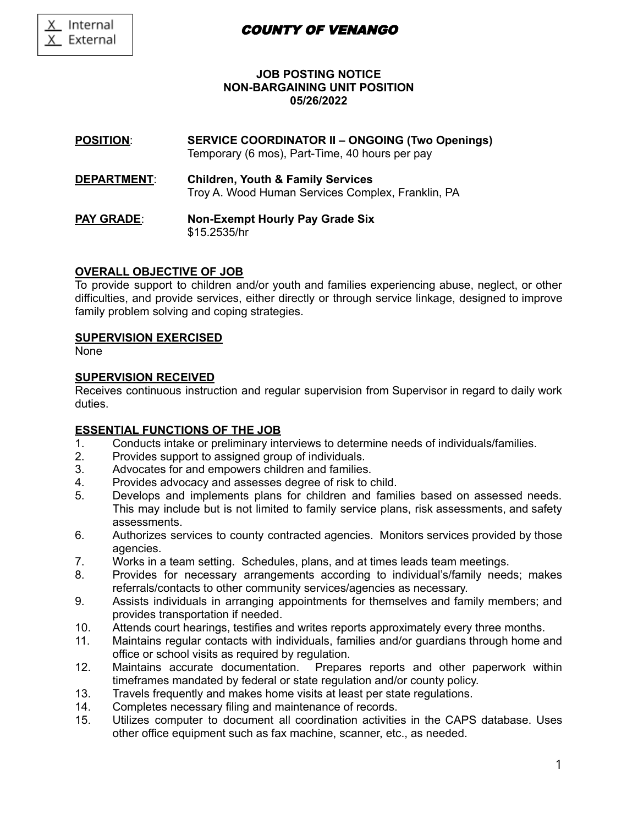# COUNTY OF VENANGO

## **JOB POSTING NOTICE NON-BARGAINING UNIT POSITION 05/26/2022**

**POSITION**: **SERVICE COORDINATOR II – ONGOING (Two Openings)** Temporary (6 mos), Part-Time, 40 hours per pay

- **DEPARTMENT**: **Children, Youth & Family Services** Troy A. Wood Human Services Complex, Franklin, PA
- **PAY GRADE**: **Non-Exempt Hourly Pay Grade Six** \$15.2535/hr

## **OVERALL OBJECTIVE OF JOB**

To provide support to children and/or youth and families experiencing abuse, neglect, or other difficulties, and provide services, either directly or through service linkage, designed to improve family problem solving and coping strategies.

### **SUPERVISION EXERCISED**

None

### **SUPERVISION RECEIVED**

Receives continuous instruction and regular supervision from Supervisor in regard to daily work duties.

### **ESSENTIAL FUNCTIONS OF THE JOB**

- 1. Conducts intake or preliminary interviews to determine needs of individuals/families.
- 2. Provides support to assigned group of individuals.
- 3. Advocates for and empowers children and families.
- 4. Provides advocacy and assesses degree of risk to child.
- 5. Develops and implements plans for children and families based on assessed needs. This may include but is not limited to family service plans, risk assessments, and safety assessments.
- 6. Authorizes services to county contracted agencies. Monitors services provided by those agencies.
- 7. Works in a team setting. Schedules, plans, and at times leads team meetings.
- 8. Provides for necessary arrangements according to individual's/family needs; makes referrals/contacts to other community services/agencies as necessary.
- 9. Assists individuals in arranging appointments for themselves and family members; and provides transportation if needed.
- 10. Attends court hearings, testifies and writes reports approximately every three months.
- 11. Maintains regular contacts with individuals, families and/or guardians through home and office or school visits as required by regulation.
- 12. Maintains accurate documentation. Prepares reports and other paperwork within timeframes mandated by federal or state regulation and/or county policy.
- 13. Travels frequently and makes home visits at least per state regulations.
- 14. Completes necessary filing and maintenance of records.
- 15. Utilizes computer to document all coordination activities in the CAPS database. Uses other office equipment such as fax machine, scanner, etc., as needed.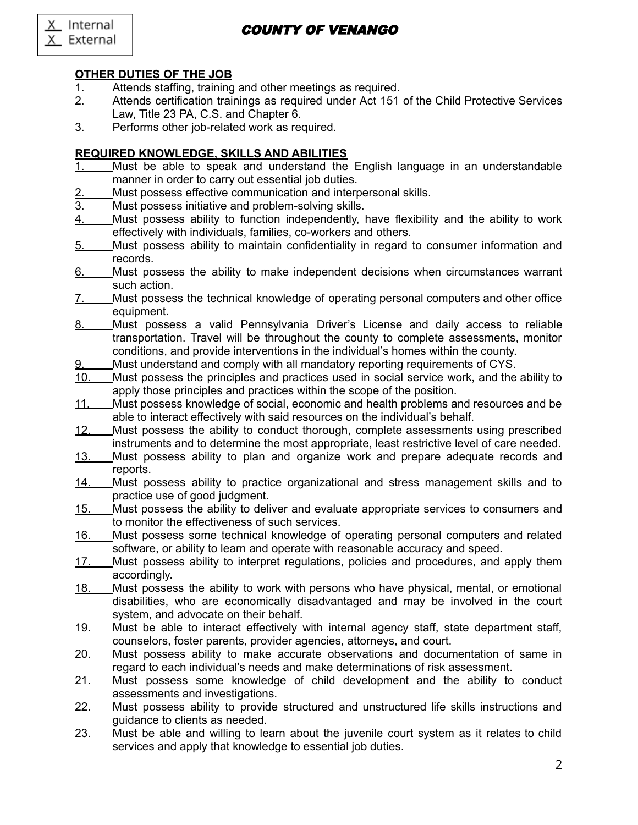X Internal External X

# COUNTY OF VENANGO

# **OTHER DUTIES OF THE JOB**

- 1. Attends staffing, training and other meetings as required.
- 2. Attends certification trainings as required under Act 151 of the Child Protective Services Law, Title 23 PA, C.S. and Chapter 6.
- 3. Performs other job-related work as required.

## **REQUIRED KNOWLEDGE, SKILLS AND ABILITIES**

- 1. Must be able to speak and understand the English language in an understandable manner in order to carry out essential job duties.
- 2. Must possess effective communication and interpersonal skills.
- 3. Must possess initiative and problem-solving skills.
- 4. Must possess ability to function independently, have flexibility and the ability to work effectively with individuals, families, co-workers and others.
- 5. Must possess ability to maintain confidentiality in regard to consumer information and records.
- 6. Must possess the ability to make independent decisions when circumstances warrant such action.
- 7. Must possess the technical knowledge of operating personal computers and other office equipment.
- 8. Must possess a valid Pennsylvania Driver's License and daily access to reliable transportation. Travel will be throughout the county to complete assessments, monitor conditions, and provide interventions in the individual's homes within the county.
- 9. Must understand and comply with all mandatory reporting requirements of CYS.
- 10. Must possess the principles and practices used in social service work, and the ability to apply those principles and practices within the scope of the position.
- 11. Must possess knowledge of social, economic and health problems and resources and be able to interact effectively with said resources on the individual's behalf.
- 12. Must possess the ability to conduct thorough, complete assessments using prescribed instruments and to determine the most appropriate, least restrictive level of care needed.
- 13. Must possess ability to plan and organize work and prepare adequate records and reports.
- 14. Must possess ability to practice organizational and stress management skills and to practice use of good judgment.
- 15. Must possess the ability to deliver and evaluate appropriate services to consumers and to monitor the effectiveness of such services.
- 16. Must possess some technical knowledge of operating personal computers and related software, or ability to learn and operate with reasonable accuracy and speed.
- 17. Must possess ability to interpret regulations, policies and procedures, and apply them accordingly.
- 18. Must possess the ability to work with persons who have physical, mental, or emotional disabilities, who are economically disadvantaged and may be involved in the court system, and advocate on their behalf.
- 19. Must be able to interact effectively with internal agency staff, state department staff, counselors, foster parents, provider agencies, attorneys, and court.
- 20. Must possess ability to make accurate observations and documentation of same in regard to each individual's needs and make determinations of risk assessment.
- 21. Must possess some knowledge of child development and the ability to conduct assessments and investigations.
- 22. Must possess ability to provide structured and unstructured life skills instructions and guidance to clients as needed.
- 23. Must be able and willing to learn about the juvenile court system as it relates to child services and apply that knowledge to essential job duties.